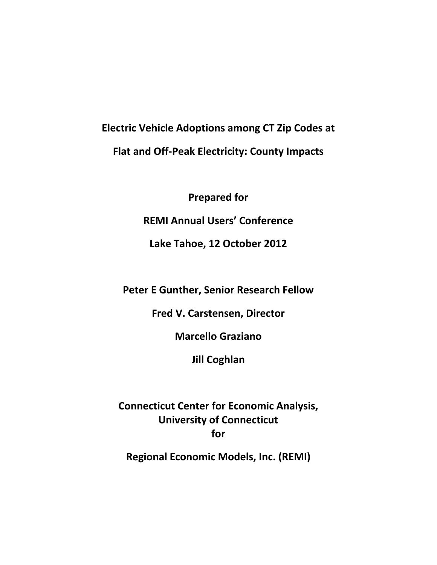# **Electric Vehicle Adoptions among CT Zip Codes at Flat and Off‐Peak Electricity: County Impacts**

**Prepared for REMI Annual Users' Conference**

**Lake Tahoe, 12 October 2012**

**Peter E Gunther, Senior Research Fellow**

**Fred V. Carstensen, Director**

**Marcello Graziano**

**Jill Coghlan**

**Connecticut Center for Economic Analysis, University of Connecticut for**

**Regional Economic Models, Inc. (REMI)**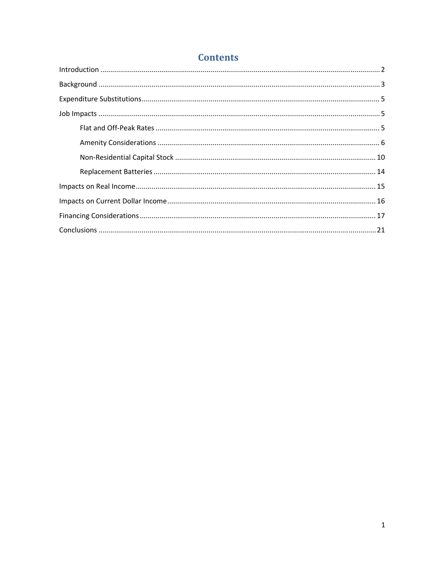# **Contents**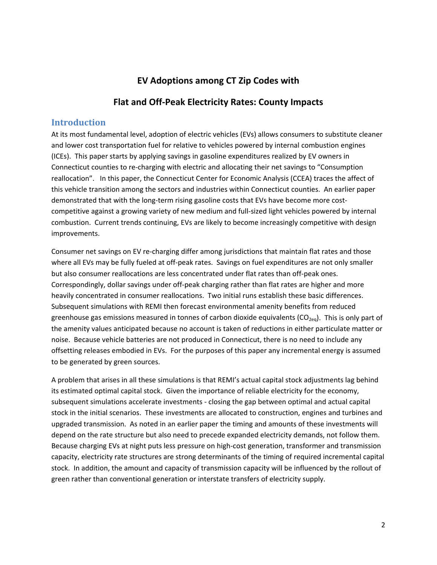### **EV Adoptions among CT Zip Codes with**

### **Flat and Off‐Peak Electricity Rates: County Impacts**

#### **Introduction**

At its most fundamental level, adoption of electric vehicles (EVs) allows consumers to substitute cleaner and lower cost transportation fuel for relative to vehicles powered by internal combustion engines (ICEs). This paper starts by applying savings in gasoline expenditures realized by EV owners in Connecticut counties to re‐charging with electric and allocating their net savings to "Consumption reallocation". In this paper, the Connecticut Center for Economic Analysis (CCEA) traces the affect of this vehicle transition among the sectors and industries within Connecticut counties. An earlier paper demonstrated that with the long-term rising gasoline costs that EVs have become more costcompetitive against a growing variety of new medium and full‐sized light vehicles powered by internal combustion. Current trends continuing, EVs are likely to become increasingly competitive with design improvements.

Consumer net savings on EV re‐charging differ among jurisdictions that maintain flat rates and those where all EVs may be fully fueled at off-peak rates. Savings on fuel expenditures are not only smaller but also consumer reallocations are less concentrated under flat rates than off-peak ones. Correspondingly, dollar savings under off‐peak charging rather than flat rates are higher and more heavily concentrated in consumer reallocations. Two initial runs establish these basic differences. Subsequent simulations with REMI then forecast environmental amenity benefits from reduced greenhouse gas emissions measured in tonnes of carbon dioxide equivalents ( $CO_{2eq}$ ). This is only part of the amenity values anticipated because no account is taken of reductions in either particulate matter or noise. Because vehicle batteries are not produced in Connecticut, there is no need to include any offsetting releases embodied in EVs. For the purposes of this paper any incremental energy is assumed to be generated by green sources.

A problem that arises in all these simulations is that REMI's actual capital stock adjustments lag behind its estimated optimal capital stock. Given the importance of reliable electricity for the economy, subsequent simulations accelerate investments ‐ closing the gap between optimal and actual capital stock in the initial scenarios. These investments are allocated to construction, engines and turbines and upgraded transmission. As noted in an earlier paper the timing and amounts of these investments will depend on the rate structure but also need to precede expanded electricity demands, not follow them. Because charging EVs at night puts less pressure on high‐cost generation, transformer and transmission capacity, electricity rate structures are strong determinants of the timing of required incremental capital stock. In addition, the amount and capacity of transmission capacity will be influenced by the rollout of green rather than conventional generation or interstate transfers of electricity supply.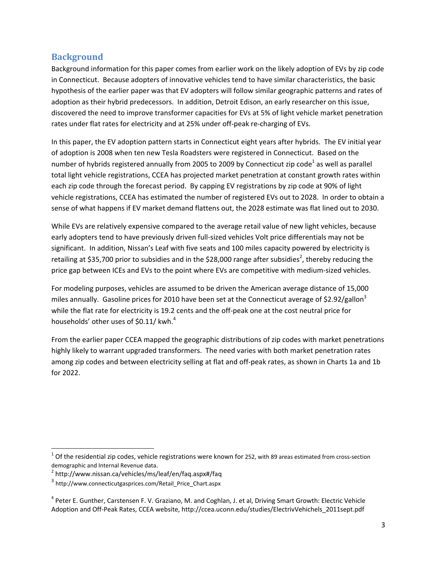### **Background**

Background information for this paper comes from earlier work on the likely adoption of EVs by zip code in Connecticut. Because adopters of innovative vehicles tend to have similar characteristics, the basic hypothesis of the earlier paper was that EV adopters will follow similar geographic patterns and rates of adoption as their hybrid predecessors. In addition, Detroit Edison, an early researcher on this issue, discovered the need to improve transformer capacities for EVs at 5% of light vehicle market penetration rates under flat rates for electricity and at 25% under off‐peak re‐charging of EVs.

In this paper, the EV adoption pattern starts in Connecticut eight years after hybrids. The EV initial year of adoption is 2008 when ten new Tesla Roadsters were registered in Connecticut. Based on the number of hybrids registered annually from 2005 to 2009 by Connecticut zip code<sup>1</sup> as well as parallel total light vehicle registrations, CCEA has projected market penetration at constant growth rates within each zip code through the forecast period. By capping EV registrations by zip code at 90% of light vehicle registrations, CCEA has estimated the number of registered EVs out to 2028. In order to obtain a sense of what happens if EV market demand flattens out, the 2028 estimate was flat lined out to 2030.

While EVs are relatively expensive compared to the average retail value of new light vehicles, because early adopters tend to have previously driven full‐sized vehicles Volt price differentials may not be significant. In addition, Nissan's Leaf with five seats and 100 miles capacity powered by electricity is retailing at \$35,700 prior to subsidies and in the \$28,000 range after subsidies<sup>2</sup>, thereby reducing the price gap between ICEs and EVs to the point where EVs are competitive with medium‐sized vehicles.

For modeling purposes, vehicles are assumed to be driven the American average distance of 15,000 miles annually. Gasoline prices for 2010 have been set at the Connecticut average of \$2.92/gallon<sup>3</sup> while the flat rate for electricity is 19.2 cents and the off-peak one at the cost neutral price for households' other uses of \$0.11/ kwh.<sup>4</sup>

From the earlier paper CCEA mapped the geographic distributions of zip codes with market penetrations highly likely to warrant upgraded transformers. The need varies with both market penetration rates among zip codes and between electricity selling at flat and off-peak rates, as shown in Charts 1a and 1b for 2022.

 $1$  Of the residential zip codes, vehicle registrations were known for 252, with 89 areas estimated from cross-section demographic and Internal Revenue data.<br><sup>2</sup> http://www.nissan.ca/vehicles/ms/leaf/en/faq.aspx#/faq

<sup>3</sup> http://www.connecticutgasprices.com/Retail\_Price\_Chart.aspx

 $4$  Peter E. Gunther, Carstensen F. V. Graziano, M. and Coghlan, J. et al, Driving Smart Growth: Electric Vehicle Adoption and Off‐Peak Rates, CCEA website, http://ccea.uconn.edu/studies/ElectrivVehichels\_2011sept.pdf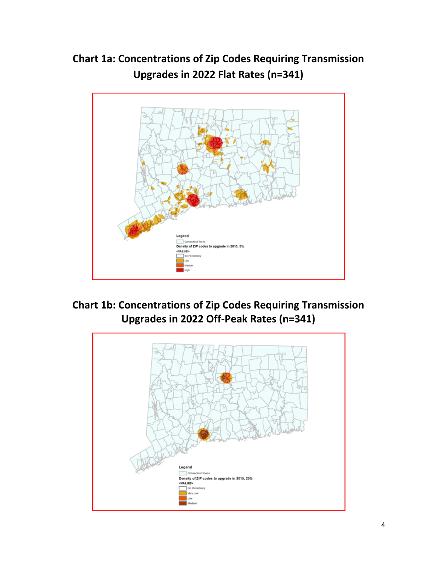**Chart 1a: Concentrations of Zip Codes Requiring Transmission Upgrades in 2022 Flat Rates (n=341)**





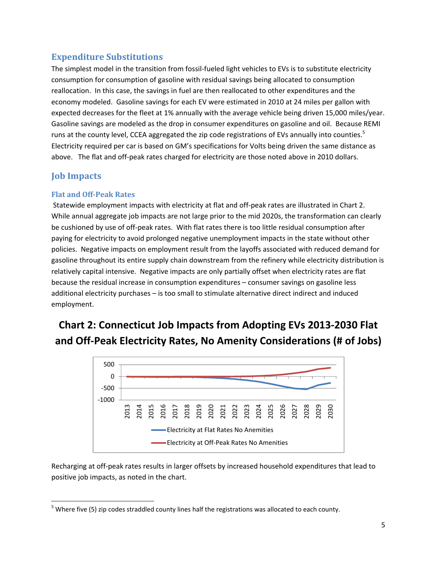## **Expenditure Substitutions**

The simplest model in the transition from fossil‐fueled light vehicles to EVs is to substitute electricity consumption for consumption of gasoline with residual savings being allocated to consumption reallocation. In this case, the savings in fuel are then reallocated to other expenditures and the economy modeled. Gasoline savings for each EV were estimated in 2010 at 24 miles per gallon with expected decreases for the fleet at 1% annually with the average vehicle being driven 15,000 miles/year. Gasoline savings are modeled as the drop in consumer expenditures on gasoline and oil. Because REMI runs at the county level, CCEA aggregated the zip code registrations of EVs annually into counties.<sup>5</sup> Electricity required per car is based on GM's specifications for Volts being driven the same distance as above. The flat and off-peak rates charged for electricity are those noted above in 2010 dollars.

# **Job Impacts**

#### **Flat and OffPeak Rates**

Statewide employment impacts with electricity at flat and off‐peak rates are illustrated in Chart 2. While annual aggregate job impacts are not large prior to the mid 2020s, the transformation can clearly be cushioned by use of off‐peak rates. With flat rates there is too little residual consumption after paying for electricity to avoid prolonged negative unemployment impacts in the state without other policies. Negative impacts on employment result from the layoffs associated with reduced demand for gasoline throughout its entire supply chain downstream from the refinery while electricity distribution is relatively capital intensive. Negative impacts are only partially offset when electricity rates are flat because the residual increase in consumption expenditures – consumer savings on gasoline less additional electricity purchases – is too small to stimulate alternative direct indirect and induced employment.

# **Chart 2: Connecticut Job Impacts from Adopting EVs 2013‐2030 Flat and Off‐Peak Electricity Rates, No Amenity Considerations (# of Jobs)**



Recharging at off‐peak rates results in larger offsets by increased household expenditures that lead to positive job impacts, as noted in the chart.

 <sup>5</sup> Where five (5) zip codes straddled county lines half the registrations was allocated to each county.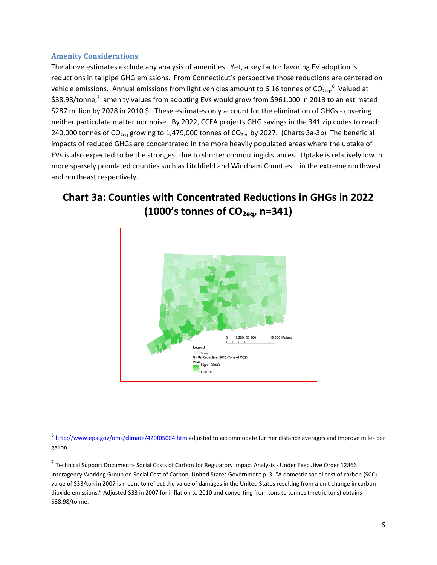#### **Amenity Considerations**

The above estimates exclude any analysis of amenities. Yet, a key factor favoring EV adoption is reductions in tailpipe GHG emissions. From Connecticut's perspective those reductions are centered on vehicle emissions. Annual emissions from light vehicles amount to 6.16 tonnes of CO<sub>2eq</sub>.<sup>6</sup> Valued at \$38.98/tonne,<sup>7</sup> amenity values from adopting EVs would grow from \$961,000 in 2013 to an estimated \$287 million by 2028 in 2010 \$. These estimates only account for the elimination of GHGs - covering neither particulate matter nor noise. By 2022, CCEA projects GHG savings in the 341 zip codes to reach 240,000 tonnes of CO<sub>2eq</sub> growing to 1,479,000 tonnes of CO<sub>2eq</sub> by 2027. (Charts 3a-3b) The beneficial impacts of reduced GHGs are concentrated in the more heavily populated areas where the uptake of EVs is also expected to be the strongest due to shorter commuting distances. Uptake is relatively low in more sparsely populated counties such as Litchfield and Windham Counties – in the extreme northwest and northeast respectively.

# **Chart 3a: Counties with Concentrated Reductions in GHGs in 2022 (1000's tonnes of CO2eq, n=341)**



<sup>&</sup>lt;sup>6</sup> http://www.epa.gov/oms/climate/420f05004.htm adjusted to accommodate further distance averages and improve miles per gallon.

<sup>7</sup> Technical Support Document:‐ Social Costs of Carbon for Regulatory Impact Analysis ‐ Under Executive Order 12866 Interagency Working Group on Social Cost of Carbon, United States Government p. 3. "A domestic social cost of carbon (SCC) value of \$33/ton in 2007 is meant to reflect the value of damages in the United States resulting from a unit change in carbon dioxide emissions." Adjusted \$33 in 2007 for inflation to 2010 and converting from tons to tonnes (metric tons) obtains \$38.98/tonne.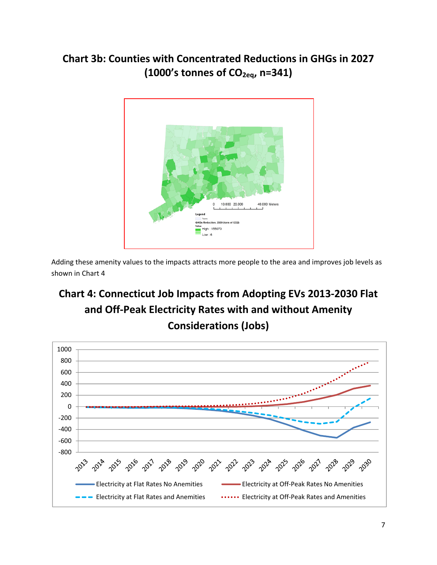# **Chart 3b: Counties with Concentrated Reductions in GHGs in 2027 (1000's tonnes of CO2eq, n=341)**



Adding these amenity values to the impacts attracts more people to the area and improves job levels as shown in Chart 4

# **Chart 4: Connecticut Job Impacts from Adopting EVs 2013‐2030 Flat and Off‐Peak Electricity Rates with and without Amenity Considerations (Jobs)**

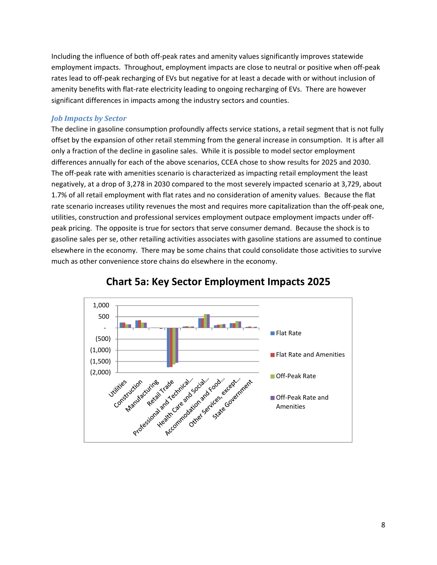Including the influence of both off‐peak rates and amenity values significantly improves statewide employment impacts. Throughout, employment impacts are close to neutral or positive when off‐peak rates lead to off-peak recharging of EVs but negative for at least a decade with or without inclusion of amenity benefits with flat-rate electricity leading to ongoing recharging of EVs. There are however significant differences in impacts among the industry sectors and counties.

#### *Job Impacts by Sector*

The decline in gasoline consumption profoundly affects service stations, a retail segment that is not fully offset by the expansion of other retail stemming from the general increase in consumption. It is after all only a fraction of the decline in gasoline sales. While it is possible to model sector employment differences annually for each of the above scenarios, CCEA chose to show results for 2025 and 2030. The off-peak rate with amenities scenario is characterized as impacting retail employment the least negatively, at a drop of 3,278 in 2030 compared to the most severely impacted scenario at 3,729, about 1.7% of all retail employment with flat rates and no consideration of amenity values. Because the flat rate scenario increases utility revenues the most and requires more capitalization than the off‐peak one, utilities, construction and professional services employment outpace employment impacts under off‐ peak pricing. The opposite is true for sectors that serve consumer demand. Because the shock is to gasoline sales per se, other retailing activities associates with gasoline stations are assumed to continue elsewhere in the economy. There may be some chains that could consolidate those activities to survive much as other convenience store chains do elsewhere in the economy.



### **Chart 5a: Key Sector Employment Impacts 2025**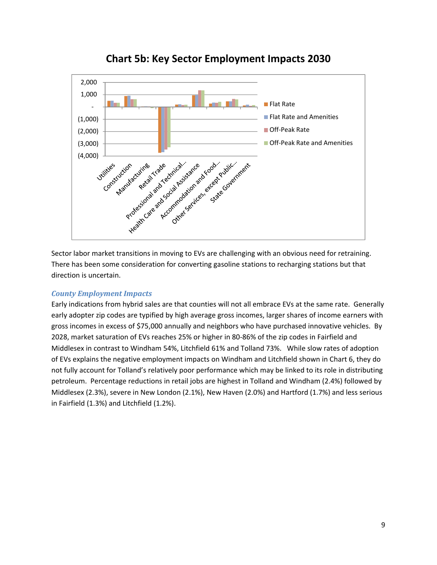

**Chart 5b: Key Sector Employment Impacts 2030**

Sector labor market transitions in moving to EVs are challenging with an obvious need for retraining. There has been some consideration for converting gasoline stations to recharging stations but that direction is uncertain.

#### *County Employment Impacts*

Early indications from hybrid sales are that counties will not all embrace EVs at the same rate. Generally early adopter zip codes are typified by high average gross incomes, larger shares of income earners with gross incomes in excess of \$75,000 annually and neighbors who have purchased innovative vehicles. By 2028, market saturation of EVs reaches 25% or higher in 80‐86% of the zip codes in Fairfield and Middlesex in contrast to Windham 54%, Litchfield 61% and Tolland 73%. While slow rates of adoption of EVs explains the negative employment impacts on Windham and Litchfield shown in Chart 6, they do not fully account for Tolland's relatively poor performance which may be linked to its role in distributing petroleum. Percentage reductions in retail jobs are highest in Tolland and Windham (2.4%) followed by Middlesex (2.3%), severe in New London (2.1%), New Haven (2.0%) and Hartford (1.7%) and less serious in Fairfield (1.3%) and Litchfield (1.2%).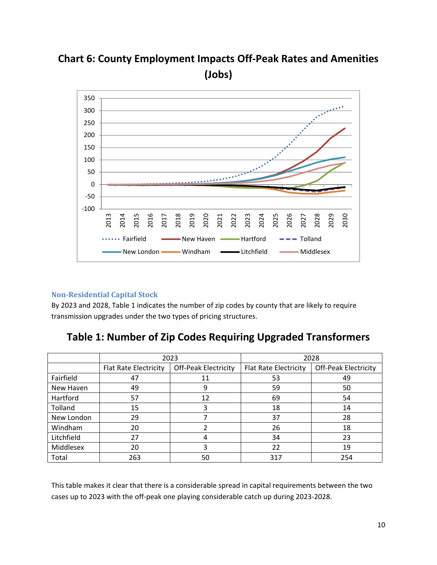

**Chart 6: County Employment Impacts Off‐Peak Rates and Amenities (Jobs)**

#### **NonResidential Capital Stock**

By 2023 and 2028, Table 1 indicates the number of zip codes by county that are likely to require transmission upgrades under the two types of pricing structures.

|            | 2023                         |                             | 2028                         |                             |
|------------|------------------------------|-----------------------------|------------------------------|-----------------------------|
|            | <b>Flat Rate Electricity</b> | <b>Off-Peak Electricity</b> | <b>Flat Rate Electricity</b> | <b>Off-Peak Electricity</b> |
| Fairfield  | 47                           | 11                          | 53                           | 49                          |
| New Haven  | 49                           | 9                           | 59                           | 50                          |
| Hartford   | 57                           | 12                          | 69                           | 54                          |
| Tolland    | 15                           | 3                           | 18                           | 14                          |
| New London | 29                           |                             | 37                           | 28                          |
| Windham    | 20                           |                             | 26                           | 18                          |
| Litchfield | 27                           | 4                           | 34                           | 23                          |
| Middlesex  | 20                           | 3                           | 22                           | 19                          |
| Total      | 263                          | 50                          | 317                          | 254                         |

## **Table 1: Number of Zip Codes Requiring Upgraded Transformers**

This table makes it clear that there is a considerable spread in capital requirements between the two cases up to 2023 with the off‐peak one playing considerable catch up during 2023‐2028.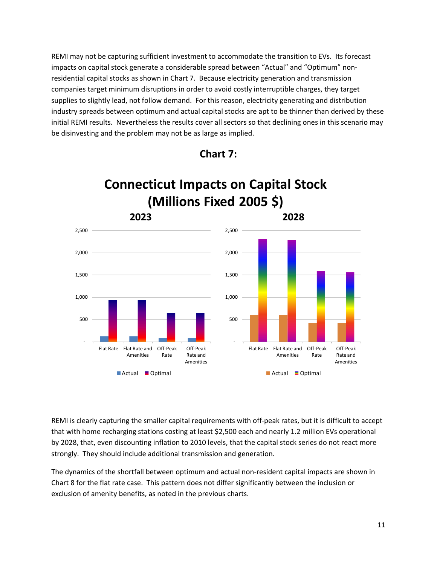REMI may not be capturing sufficient investment to accommodate the transition to EVs. Its forecast impacts on capital stock generate a considerable spread between "Actual" and "Optimum" nonresidential capital stocks as shown in Chart 7. Because electricity generation and transmission companies target minimum disruptions in order to avoid costly interruptible charges, they target supplies to slightly lead, not follow demand. For this reason, electricity generating and distribution industry spreads between optimum and actual capital stocks are apt to be thinner than derived by these initial REMI results. Nevertheless the results cover all sectors so that declining ones in this scenario may be disinvesting and the problem may not be as large as implied.



**Chart 7:**

REMI is clearly capturing the smaller capital requirements with off‐peak rates, but it is difficult to accept that with home recharging stations costing at least \$2,500 each and nearly 1.2 million EVs operational by 2028, that, even discounting inflation to 2010 levels, that the capital stock series do not react more strongly. They should include additional transmission and generation.

The dynamics of the shortfall between optimum and actual non‐resident capital impacts are shown in Chart 8 for the flat rate case. This pattern does not differ significantly between the inclusion or exclusion of amenity benefits, as noted in the previous charts.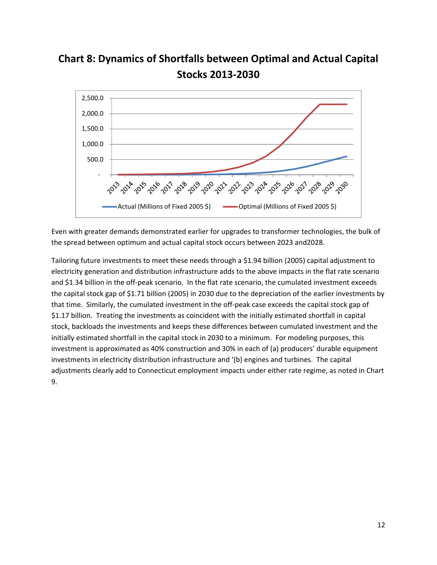



Even with greater demands demonstrated earlier for upgrades to transformer technologies, the bulk of the spread between optimum and actual capital stock occurs between 2023 and2028.

Tailoring future investments to meet these needs through a \$1.94 billion (2005) capital adjustment to electricity generation and distribution infrastructure adds to the above impacts in the flat rate scenario and \$1.34 billion in the off-peak scenario. In the flat rate scenario, the cumulated investment exceeds the capital stock gap of \$1.71 billion (2005) in 2030 due to the depreciation of the earlier investments by that time. Similarly, the cumulated investment in the off‐peak case exceeds the capital stock gap of \$1.17 billion. Treating the investments as coincident with the initially estimated shortfall in capital stock, backloads the investments and keeps these differences between cumulated investment and the initially estimated shortfall in the capital stock in 2030 to a minimum. For modeling purposes, this investment is approximated as 40% construction and 30% in each of (a) producers' durable equipment investments in electricity distribution infrastructure and '(b) engines and turbines. The capital adjustments clearly add to Connecticut employment impacts under either rate regime, as noted in Chart 9.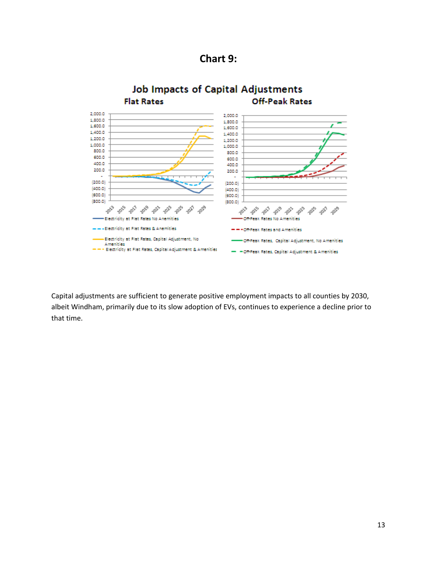



Capital adjustments are sufficient to generate positive employment impacts to all counties by 2030, albeit Windham, primarily due to its slow adoption of EVs, continues to experience a decline prior to that time.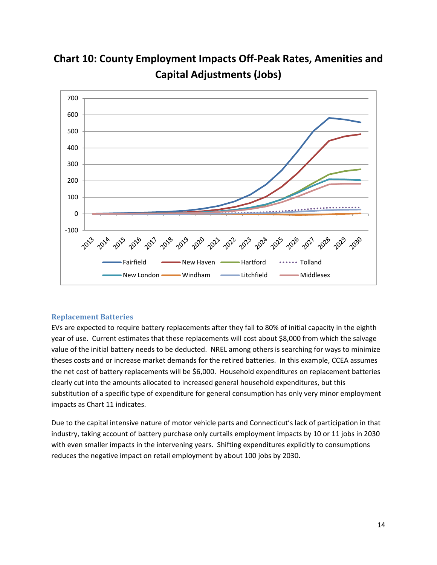

**Chart 10: County Employment Impacts Off‐Peak Rates, Amenities and Capital Adjustments (Jobs)**

#### **Replacement Batteries**

EVs are expected to require battery replacements after they fall to 80% of initial capacity in the eighth year of use. Current estimates that these replacements will cost about \$8,000 from which the salvage value of the initial battery needs to be deducted. NREL among others is searching for ways to minimize theses costs and or increase market demands for the retired batteries. In this example, CCEA assumes the net cost of battery replacements will be \$6,000. Household expenditures on replacement batteries clearly cut into the amounts allocated to increased general household expenditures, but this substitution of a specific type of expenditure for general consumption has only very minor employment impacts as Chart 11 indicates.

Due to the capital intensive nature of motor vehicle parts and Connecticut's lack of participation in that industry, taking account of battery purchase only curtails employment impacts by 10 or 11 jobs in 2030 with even smaller impacts in the intervening years. Shifting expenditures explicitly to consumptions reduces the negative impact on retail employment by about 100 jobs by 2030.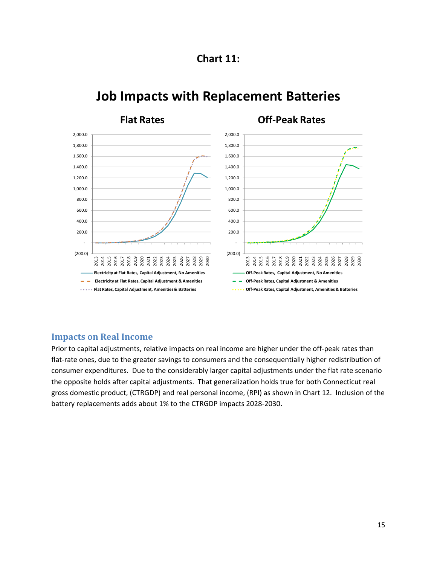



# **Job Impacts with Replacement Batteries**

### **Impacts on Real Income**

Prior to capital adjustments, relative impacts on real income are higher under the off‐peak rates than flat-rate ones, due to the greater savings to consumers and the consequentially higher redistribution of consumer expenditures. Due to the considerably larger capital adjustments under the flat rate scenario the opposite holds after capital adjustments. That generalization holds true for both Connecticut real gross domestic product, (CTRGDP) and real personal income, (RPI) as shown in Chart 12. Inclusion of the battery replacements adds about 1% to the CTRGDP impacts 2028‐2030.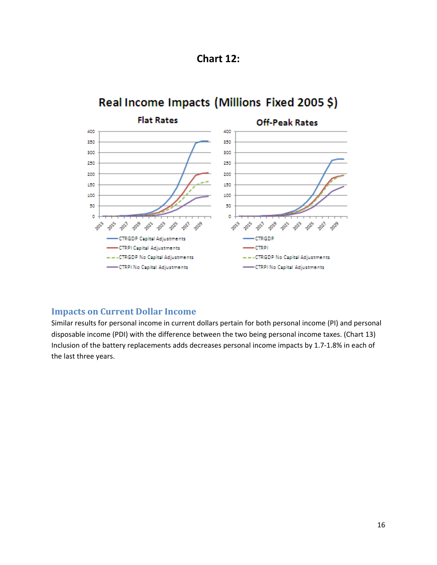

#### **Flat Rates Off-Peak Rates** 400 400 350 350 300 300 250 250 200 200 150 150 100 100 50 50 o ō 2019 ~200 90,2 **POL** 2023 2021 2017 2021 2023 2023 2013 2013 2021  $\phi^3$ 2019  $\phi^{\circ}$  $\phi^{\circ}$ **CTRGDP Capital Adjustments** CTRGDP **CTRPI Capital Adjustments** -CTRPI --- CTRGDP No Capital Adjustments -- CTRGDP No Capital Adjustments -CTRPI No Capital Adjustments -CTRPI No Capital Adjustments

# Real Income Impacts (Millions Fixed 2005 \$)

### **Impacts on Current Dollar Income**

Similar results for personal income in current dollars pertain for both personal income (PI) and personal disposable income (PDI) with the difference between the two being personal income taxes. (Chart 13) Inclusion of the battery replacements adds decreases personal income impacts by 1.7‐1.8% in each of the last three years.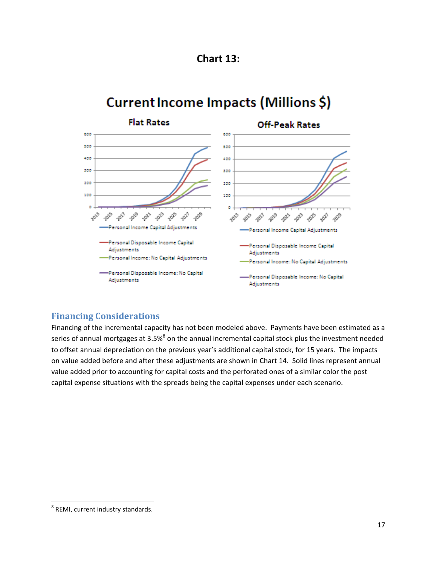

# Current Income Impacts (Millions \$)



### **Financing Considerations**

Financing of the incremental capacity has not been modeled above. Payments have been estimated as a series of annual mortgages at 3.5%<sup>8</sup> on the annual incremental capital stock plus the investment needed to offset annual depreciation on the previous year's additional capital stock, for 15 years. The impacts on value added before and after these adjustments are shown in Chart 14. Solid lines represent annual value added prior to accounting for capital costs and the perforated ones of a similar color the post capital expense situations with the spreads being the capital expenses under each scenario.

 <sup>8</sup> REMI, current industry standards.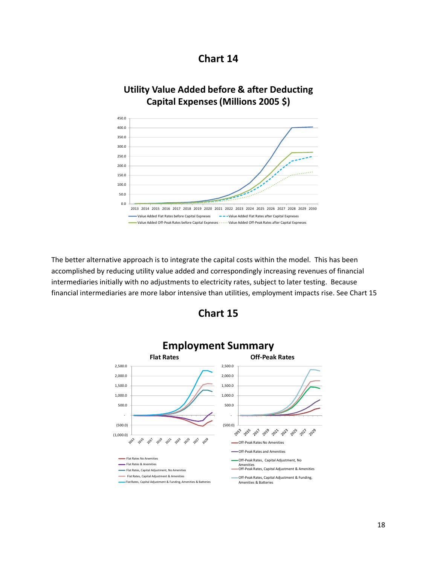

## **Utility Value Added before & after Deducting Capital Expenses(Millions 2005 \$)**



The better alternative approach is to integrate the capital costs within the model. This has been accomplished by reducing utility value added and correspondingly increasing revenues of financial intermediaries initially with no adjustments to electricity rates, subject to later testing. Because financial intermediaries are more labor intensive than utilities, employment impacts rise. See Chart 15



### **Chart 15**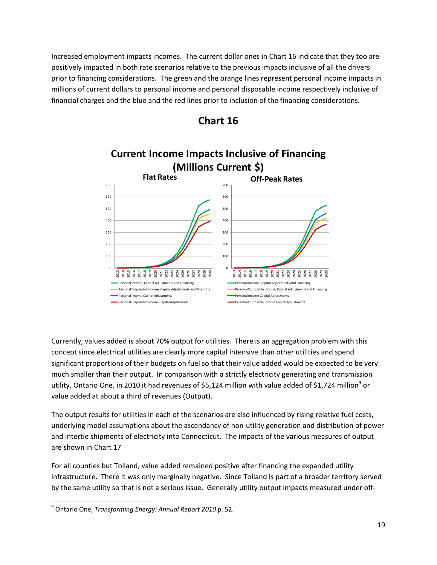Increased employment impacts incomes. The current dollar ones in Chart 16 indicate that they too are positively impacted in both rate scenarios relative to the previous impacts inclusive of all the drivers prior to financing considerations. The green and the orange lines represent personal income impacts in millions of current dollars to personal income and personal disposable income respectively inclusive of financial charges and the blue and the red lines prior to inclusion of the financing considerations.



### **Chart 16**

Currently, values added is about 70% output for utilities. There is an aggregation problem with this concept since electrical utilities are clearly more capital intensive than other utilities and spend significant proportions of their budgets on fuel so that their value added would be expected to be very much smaller than their output. In comparison with a strictly electricity generating and transmission utility, Ontario One, in 2010 it had revenues of \$5,124 million with value added of \$1,724 million<sup>9</sup> or value added at about a third of revenues (Output).

The output results for utilities in each of the scenarios are also influenced by rising relative fuel costs, underlying model assumptions about the ascendancy of non‐utility generation and distribution of power and intertie shipments of electricity into Connecticut. The impacts of the various measures of output are shown in Chart 17

For all counties but Tolland, value added remained positive after financing the expanded utility infrastructure. There it was only marginally negative. Since Tolland is part of a broader territory served by the same utility so that is not a serious issue. Generally utility output impacts measured under off‐

<sup>9</sup> Ontario One, *Transforming Energy: Annual Report 2010* p. 52.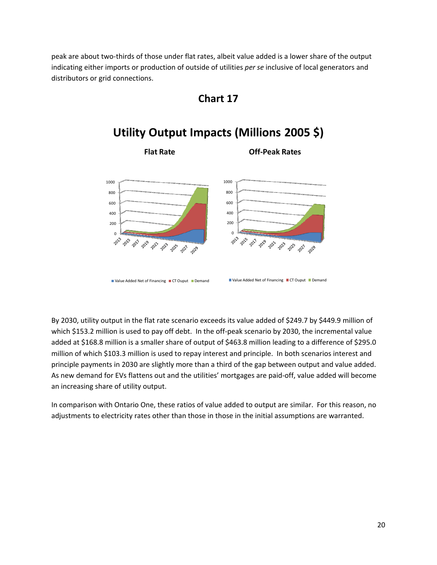peak are about two‐thirds of those under flat rates, albeit value added is a lower share of the output indicating either imports or production of outside of utilities *per se* inclusive of local generators and distributors or grid connections.



# **Utility Output Impacts (Millions 2005 \$)**



By 2030, utility output in the flat rate scenario exceeds its value added of \$249.7 by \$449.9 million of which \$153.2 million is used to pay off debt. In the off-peak scenario by 2030, the incremental value added at \$168.8 million is a smaller share of output of \$463.8 million leading to a difference of \$295.0 million of which \$103.3 million is used to repay interest and principle. In both scenarios interest and principle payments in 2030 are slightly more than a third of the gap between output and value added. As new demand for EVs flattens out and the utilities' mortgages are paid‐off, value added will become an increasing share of utility output.

In comparison with Ontario One, these ratios of value added to output are similar. For this reason, no adjustments to electricity rates other than those in those in the initial assumptions are warranted.